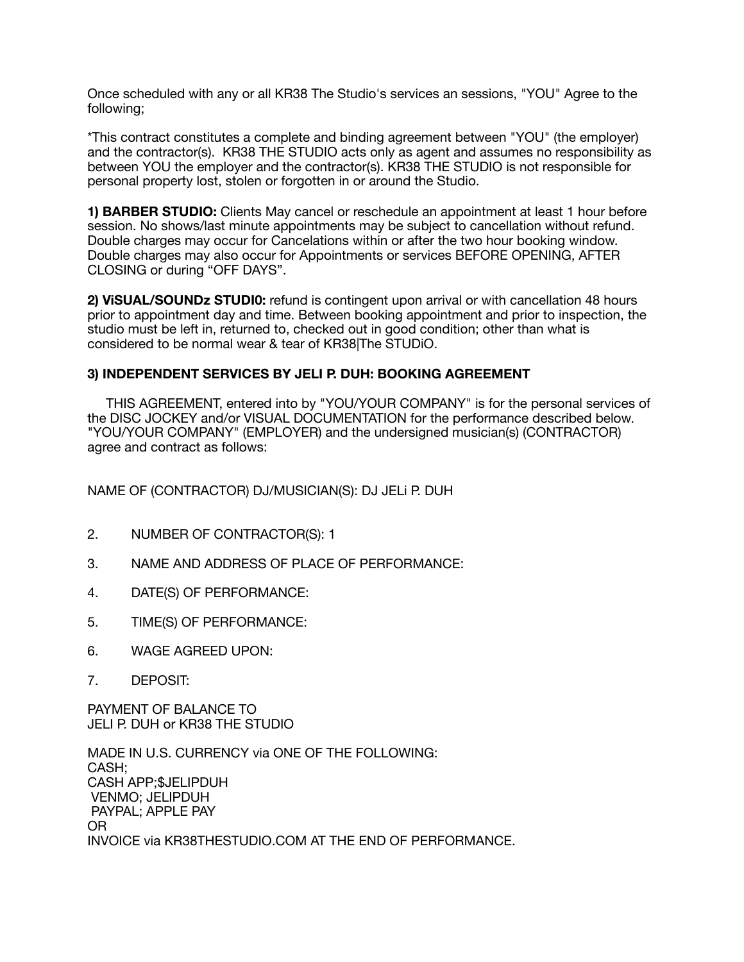Once scheduled with any or all KR38 The Studio's services an sessions, "YOU" Agree to the following;

\*This contract constitutes a complete and binding agreement between "YOU" (the employer) and the contractor(s). KR38 THE STUDIO acts only as agent and assumes no responsibility as between YOU the employer and the contractor(s). KR38 THE STUDIO is not responsible for personal property lost, stolen or forgotten in or around the Studio.

**1) BARBER STUDIO:** Clients May cancel or reschedule an appointment at least 1 hour before session. No shows/last minute appointments may be subject to cancellation without refund. Double charges may occur for Cancelations within or after the two hour booking window. Double charges may also occur for Appointments or services BEFORE OPENING, AFTER CLOSING or during "OFF DAYS".

**2) ViSUAL/SOUNDz STUDI0:** refund is contingent upon arrival or with cancellation 48 hours prior to appointment day and time. Between booking appointment and prior to inspection, the studio must be left in, returned to, checked out in good condition; other than what is considered to be normal wear & tear of KR38|The STUDiO.

## **3) INDEPENDENT SERVICES BY JELI P. DUH: BOOKING AGREEMENT**

 THIS AGREEMENT, entered into by "YOU/YOUR COMPANY" is for the personal services of the DISC JOCKEY and/or VISUAL DOCUMENTATION for the performance described below. "YOU/YOUR COMPANY" (EMPLOYER) and the undersigned musician(s) (CONTRACTOR) agree and contract as follows:

NAME OF (CONTRACTOR) DJ/MUSICIAN(S): DJ JELi P. DUH

- 2. NUMBER OF CONTRACTOR(S): 1
- 3. NAME AND ADDRESS OF PLACE OF PERFORMANCE:
- 4. DATE(S) OF PERFORMANCE:
- 5. TIME(S) OF PERFORMANCE:
- 6. WAGE AGREED UPON:
- 7. DEPOSIT:

PAYMENT OF BALANCE TO JELI P. DUH or KR38 THE STUDIO

MADE IN U.S. CURRENCY via ONE OF THE FOLLOWING: CASH; CASH APP;\$JELIPDUH VENMO; JELIPDUH PAYPAL; APPLE PAY OR INVOICE via KR38THESTUDIO.COM AT THE END OF PERFORMANCE.